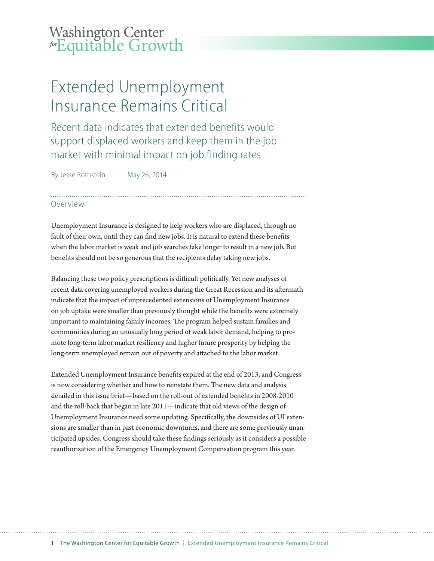## Washington Center **for** Equitable Growth

# Extended Unemployment Insurance Remains Critical

Recent data indicates that extended benefits would support displaced workers and keep them in the job market with minimal impact on job finding rates

By Jesse Rothstein May 26, 2014

### Overview

Unemployment Insurance is designed to help workers who are displaced, through no fault of their own, until they can find new jobs. It is natural to extend these benefits when the labor market is weak and job searches take longer to result in a new job. But benefits should not be so generous that the recipients delay taking new jobs.

Balancing these two policy prescriptions is difficult politically. Yet new analyses of recent data covering unemployed workers during the Great Recession and its aftermath indicate that the impact of unprecedented extensions of Unemployment Insurance on job uptake were smaller than previously thought while the benefits were extremely important to maintaining family incomes. The program helped sustain families and communities during an unusually long period of weak labor demand, helping to promote long-term labor market resiliency and higher future prosperity by helping the long-term unemployed remain out of poverty and attached to the labor market.

Extended Unemployment Insurance benefits expired at the end of 2013, and Congress is now considering whether and how to reinstate them. The new data and analysis detailed in this issue brief—based on the roll-out of extended benefits in 2008-2010 and the roll-back that began in late 2011—indicate that old views of the design of Unemployment Insurance need some updating. Specifically, the downsides of UI extensions are smaller than in past economic downturns, and there are some previously unanticipated upsides. Congress should take these findings seriously as it considers a possible reauthorization of the Emergency Unemployment Compensation program this year.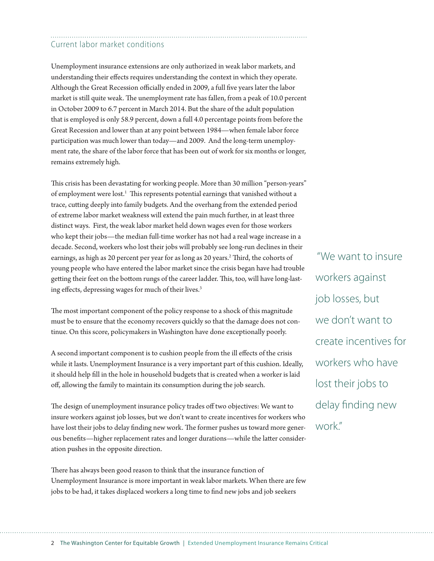### Current labor market conditions

Unemployment insurance extensions are only authorized in weak labor markets, and understanding their effects requires understanding the context in which they operate. Although the Great Recession officially ended in 2009, a full five years later the labor market is still quite weak. The unemployment rate has fallen, from a peak of 10.0 percent in October 2009 to 6.7 percent in March 2014. But the share of the adult population that is employed is only 58.9 percent, down a full 4.0 percentage points from before the Great Recession and lower than at any point between 1984—when female labor force participation was much lower than today—and 2009. And the long-term unemployment rate, the share of the labor force that has been out of work for six months or longer, remains extremely high.

This crisis has been devastating for working people. More than 30 million "person-years" of employment were lost.<sup>1</sup> This represents potential earnings that vanished without a trace, cutting deeply into family budgets. And the overhang from the extended period of extreme labor market weakness will extend the pain much further, in at least three distinct ways. First, the weak labor market held down wages even for those workers who kept their jobs—the median full-time worker has not had a real wage increase in a decade. Second, workers who lost their jobs will probably see long-run declines in their earnings, as high as 20 percent per year for as long as 20 years.<sup>2</sup> Third, the cohorts of young people who have entered the labor market since the crisis began have had trouble getting their feet on the bottom rungs of the career ladder. This, too, will have long-lasting effects, depressing wages for much of their lives.<sup>3</sup>

The most important component of the policy response to a shock of this magnitude must be to ensure that the economy recovers quickly so that the damage does not continue. On this score, policymakers in Washington have done exceptionally poorly.

A second important component is to cushion people from the ill effects of the crisis while it lasts. Unemployment Insurance is a very important part of this cushion. Ideally, it should help fill in the hole in household budgets that is created when a worker is laid off, allowing the family to maintain its consumption during the job search.

The design of unemployment insurance policy trades off two objectives: We want to insure workers against job losses, but we don't want to create incentives for workers who have lost their jobs to delay finding new work. The former pushes us toward more generous benefits—higher replacement rates and longer durations—while the latter consideration pushes in the opposite direction.

There has always been good reason to think that the insurance function of Unemployment Insurance is more important in weak labor markets. When there are few jobs to be had, it takes displaced workers a long time to find new jobs and job seekers

 "We want to insure workers against job losses, but we don't want to create incentives for workers who have lost their jobs to delay finding new work."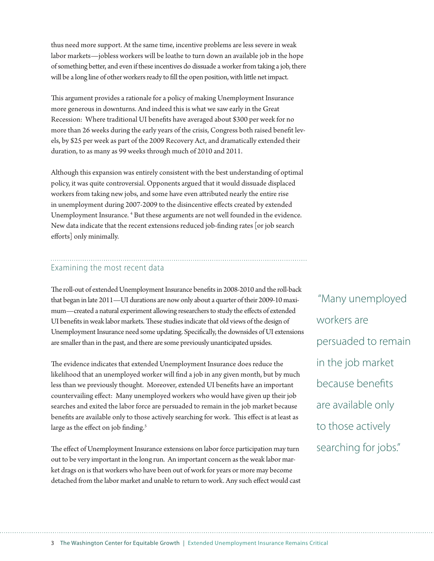thus need more support. At the same time, incentive problems are less severe in weak labor markets—jobless workers will be loathe to turn down an available job in the hope of something better, and even if these incentives do dissuade a worker from taking a job, there will be a long line of other workers ready to fill the open position, with little net impact.

This argument provides a rationale for a policy of making Unemployment Insurance more generous in downturns. And indeed this is what we saw early in the Great Recession: Where traditional UI benefits have averaged about \$300 per week for no more than 26 weeks during the early years of the crisis, Congress both raised benefit levels, by \$25 per week as part of the 2009 Recovery Act, and dramatically extended their duration, to as many as 99 weeks through much of 2010 and 2011.

Although this expansion was entirely consistent with the best understanding of optimal policy, it was quite controversial. Opponents argued that it would dissuade displaced workers from taking new jobs, and some have even attributed nearly the entire rise in unemployment during 2007-2009 to the disincentive effects created by extended Unemployment Insurance.<sup>4</sup> But these arguments are not well founded in the evidence. New data indicate that the recent extensions reduced job-finding rates  $[$  or job search efforts] only minimally.

### Examining the most recent data

The roll-out of extended Unemployment Insurance benefits in 2008-2010 and the roll-back that began in late 2011—UI durations are now only about a quarter of their 2009-10 maximum—created a natural experiment allowing researchers to study the effects of extended UI benefits in weak labor markets. These studies indicate that old views of the design of Unemployment Insurance need some updating. Specifically, the downsides of UI extensions are smaller than in the past, and there are some previously unanticipated upsides.

The evidence indicates that extended Unemployment Insurance does reduce the likelihood that an unemployed worker will find a job in any given month, but by much less than we previously thought. Moreover, extended UI benefits have an important countervailing effect: Many unemployed workers who would have given up their job searches and exited the labor force are persuaded to remain in the job market because benefits are available only to those actively searching for work. This effect is at least as large as the effect on job finding. $5$ 

The effect of Unemployment Insurance extensions on labor force participation may turn out to be very important in the long run. An important concern as the weak labor market drags on is that workers who have been out of work for years or more may become detached from the labor market and unable to return to work. Any such effect would cast

 "Many unemployed workers are persuaded to remain in the job market because benefits are available only to those actively searching for jobs."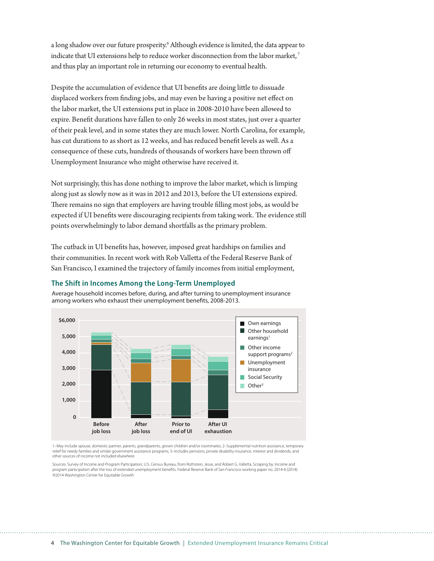a long shadow over our future prosperity.<sup>6</sup> Although evidence is limited, the data appear to indicate that UI extensions help to reduce worker disconnection from the labor market,<sup>7</sup> and thus play an important role in returning our economy to eventual health.

Despite the accumulation of evidence that UI benefits are doing little to dissuade displaced workers from finding jobs, and may even be having a positive net effect on the labor market, the UI extensions put in place in 2008-2010 have been allowed to expire. Benefit durations have fallen to only 26 weeks in most states, just over a quarter of their peak level, and in some states they are much lower. North Carolina, for example, has cut durations to as short as 12 weeks, and has reduced benefit levels as well. As a consequence of these cuts, hundreds of thousands of workers have been thrown off Unemployment Insurance who might otherwise have received it.

Not surprisingly, this has done nothing to improve the labor market, which is limping along just as slowly now as it was in 2012 and 2013, before the UI extensions expired. There remains no sign that employers are having trouble filling most jobs, as would be expected if UI benefits were discouraging recipients from taking work. The evidence still points overwhelmingly to labor demand shortfalls as the primary problem.

The cutback in UI benefits has, however, imposed great hardships on families and their communities. In recent work with Rob Valletta of the Federal Reserve Bank of San Francisco, I examined the trajectory of family incomes from initial employment,



Average household incomes before, during, and after turning to unemployment insurance among workers who exhaust their unemployment benefits, 2008-2013.

**The Shift in Incomes Among the Long-Term Unemployed**

1–May include spouse, domestic partner, parents, grandparents, grown children and/or roommates; 2–Supplemental nutrition assistance, temporary relief for needy families and similar government assistance programs; 3–Includes pensions, private disability insurance, interest and dividends, and other sources of income not included elsewhere

Sources: Survey of Income and Program Participation, U.S. Census Bureau, from Rothstein, Jesse, and Robert G. Valletta. Scraping by: Income and program participation after the loss of extended unemployment benefits. Federal Reserve Bank of San Francisco working paper no. 2014-6 (2014). ©2014 Washington Center for Equitable Growth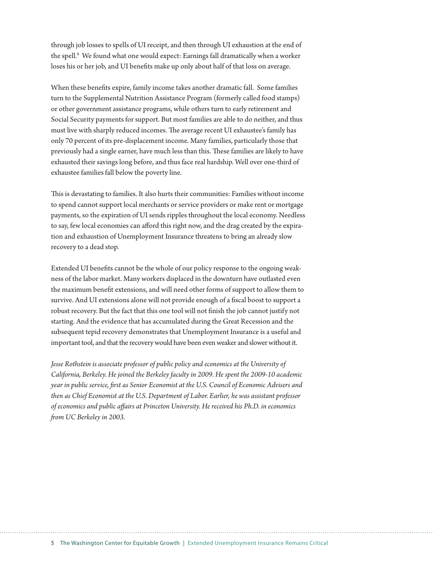through job losses to spells of UI receipt, and then through UI exhaustion at the end of the spell.<sup>8</sup> We found what one would expect: Earnings fall dramatically when a worker loses his or her job, and UI benefits make up only about half of that loss on average.

When these benefits expire, family income takes another dramatic fall. Some families turn to the Supplemental Nutrition Assistance Program (formerly called food stamps) or other government assistance programs, while others turn to early retirement and Social Security payments for support. But most families are able to do neither, and thus must live with sharply reduced incomes. The average recent UI exhaustee's family has only 70 percent of its pre-displacement income. Many families, particularly those that previously had a single earner, have much less than this. These families are likely to have exhausted their savings long before, and thus face real hardship. Well over one-third of exhaustee families fall below the poverty line.

This is devastating to families. It also hurts their communities: Families without income to spend cannot support local merchants or service providers or make rent or mortgage payments, so the expiration of UI sends ripples throughout the local economy. Needless to say, few local economies can afford this right now, and the drag created by the expiration and exhaustion of Unemployment Insurance threatens to bring an already slow recovery to a dead stop.

Extended UI benefits cannot be the whole of our policy response to the ongoing weakness of the labor market. Many workers displaced in the downturn have outlasted even the maximum benefit extensions, and will need other forms of support to allow them to survive. And UI extensions alone will not provide enough of a fiscal boost to support a robust recovery. But the fact that this one tool will not finish the job cannot justify not starting. And the evidence that has accumulated during the Great Recession and the subsequent tepid recovery demonstrates that Unemployment Insurance is a useful and important tool, and that the recovery would have been even weaker and slower without it.

*Jesse Rothstein is associate professor of public policy and economics at the University of California, Berkeley. He joined the Berkeley faculty in 2009. He spent the 2009-10 academic year in public service, !rst as Senior Economist at the U.S. Council of Economic Advisers and then as Chief Economist at the U.S. Department of Labor. Earlier, he was assistant professor*  of economics and public affairs at Princeton University. He received his Ph.D. in economics from UC Berkeley in 2003.